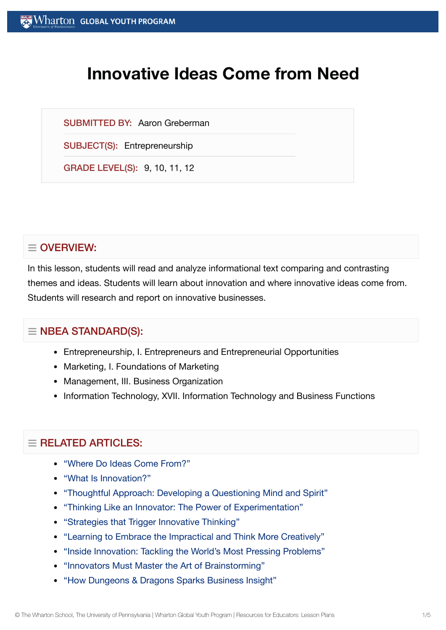# **Innovative Ideas Come from Need**

SUBMITTED BY: Aaron Greberman

SUBJECT(S): Entrepreneurship

GRADE LEVEL(S): 9, 10, 11, 12

## $\equiv$  OVERVIEW:

In this lesson, students will read and analyze informational text comparing and contrasting themes and ideas. Students will learn about innovation and where innovative ideas come from. Students will research and report on innovative businesses.

## $\equiv$  NBEA STANDARD(S):

- Entrepreneurship, I. Entrepreneurs and Entrepreneurial Opportunities
- Marketing, I. Foundations of Marketing
- Management, III. Business Organization
- Information Technology, XVII. Information Technology and Business Functions

## $=$  RELATED ARTICLES:

- "Where Do [Ideas Come](https://globalyouth.wharton.upenn.edu/articles/where-do-ideas-come-from/) From?"
- "What [Is Innovation?"](https://globalyouth.wharton.upenn.edu/articles/innovation/)
- "Thoughtful Approach: Developing a [Questioning](https://globalyouth.wharton.upenn.edu/articles/thoughtful-approach-developing-a-questioning-mind-and-spirit/) Mind and Spirit"
- "Thinking Like an Innovator: The Power of [Experimentation"](https://globalyouth.wharton.upenn.edu/articles/thinking-like-innovator-power-experimentation/)
- ["Strategies that](https://globalyouth.wharton.upenn.edu/articles/strategies-trigger-innovative-ideas/) Trigger Innovative Thinking"
- "Learning to Embrace the [Impractical](https://globalyouth.wharton.upenn.edu/articles/how-to-think-more-creatively/) and Think More Creatively"
- "Inside Innovation: Tackling the [World's Most](https://globalyouth.wharton.upenn.edu/articles/inside-innovation-tackling-worlds-pressing-problems/) Pressing Problems"
- ["Innovators Must](https://globalyouth.wharton.upenn.edu/articles/innovators-must-master-the-art-of-brainstorming/) Master the Art of Brainstorming"
- "How Dungeons & [Dragons Sparks Business Insight"](https://globalyouth.wharton.upenn.edu/articles/how-dungeons-dragons-fuels-your-business-knowledge/)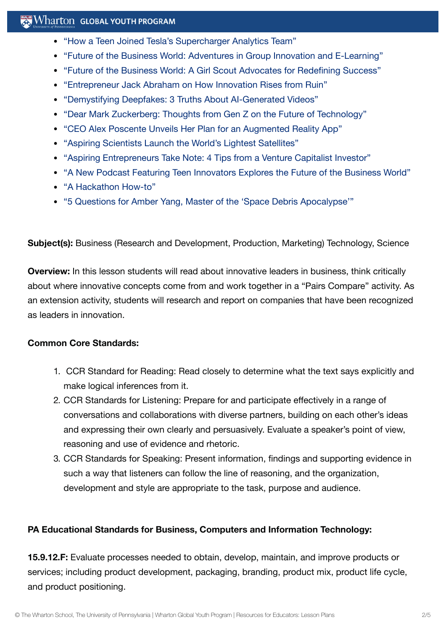## $\mathbb{R}$  Wharton Global Youth Program

- "How a Teen Joined [Tesla's Supercharger](https://globalyouth.wharton.upenn.edu/articles/how-a-teen-joined-teslas-supercharger-analytics-team/) Analytics Team"
- "Future of the [Business World:](https://globalyouth.wharton.upenn.edu/articles/future-business-world-adventures-in-group-innovation-and-e-learning/) Adventures in Group Innovation and E-Learning"
- "Future of the [Business World:](https://globalyouth.wharton.upenn.edu/articles/girl-scout-advocates-entrepreneurial-mindset-education-reform/) A Girl Scout Advocates for Redefining Success"
- ["Entrepreneur](https://globalyouth.wharton.upenn.edu/articles/jack-abraham-innovation-rises-ruin/) Jack Abraham on How Innovation Rises from Ruin"
- ["Demystifying](https://globalyouth.wharton.upenn.edu/articles/demystifying-deepfakes-3-truths-ai-generated-videos/) Deepfakes: 3 Truths About AI-Generated Videos"
- "Dear Mark Zuckerberg: [Thoughts from](https://globalyouth.wharton.upenn.edu/articles/dear-mark-zuckerberg-heres-gen-zs-perspective-on-the-future-of-technology/) Gen Z on the Future of Technology"
- "CEO Alex Poscente Unveils Her Plan for an Augmented [Reality App"](https://globalyouth.wharton.upenn.edu/articles/ceo-alex-poscente-unveils-her-plan-for-an-augmented-reality-app/)
- "Aspiring [Scientists Launch](https://globalyouth.wharton.upenn.edu/articles/young-scientists-worlds-lightest-satellite/) the World's Lightest Satellites"
- "Aspiring [Entrepreneurs Take](https://globalyouth.wharton.upenn.edu/articles/aspiring-entrepreneurs-take-note-4-tips-venture-capitalist-investor/) Note: 4 Tips from a Venture Capitalist Investor"
- "A New Podcast Featuring Teen [Innovators Explores the](https://globalyouth.wharton.upenn.edu/articles/new-podcast-teen-innovators-explores-future-of-the-business-world/) Future of the Business World"
- "A [Hackathon](https://globalyouth.wharton.upenn.edu/articles/a-hackathon-how-to/) How-to"
- "5 Questions for Amber Yang, Master of the 'Space [Debris Apocalypse'"](https://globalyouth.wharton.upenn.edu/articles/5-questions-amber-yang-master-space-debris-apocalypse/)

**Subject(s):** Business (Research and Development, Production, Marketing) Technology, Science

**Overview:** In this lesson students will read about innovative leaders in business, think critically about where innovative concepts come from and work together in a "Pairs Compare" activity. As an extension activity, students will research and report on companies that have been recognized as leaders in innovation.

#### **Common Core Standards:**

- 1. CCR Standard for Reading: Read closely to determine what the text says explicitly and make logical inferences from it.
- 2. CCR Standards for Listening: Prepare for and participate effectively in a range of conversations and collaborations with diverse partners, building on each other's ideas and expressing their own clearly and persuasively. Evaluate a speaker's point of view, reasoning and use of evidence and rhetoric.
- 3. CCR Standards for Speaking: Present information, findings and supporting evidence in such a way that listeners can follow the line of reasoning, and the organization, development and style are appropriate to the task, purpose and audience.

#### **PA Educational Standards for Business, Computers and Information Technology:**

**15.9.12.F:** Evaluate processes needed to obtain, develop, maintain, and improve products or services; including product development, packaging, branding, product mix, product life cycle, and product positioning.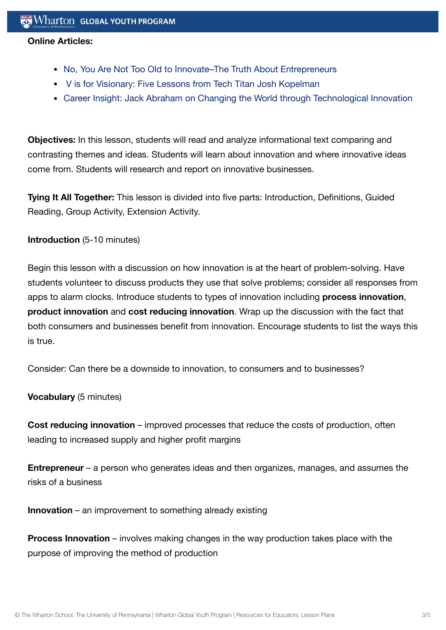#### **Online Articles:**

- No, You Are Not Too Old to Innovate–The Truth About [Entrepreneurs](http://www.linkedin.com/today/post/article/20130802040048-8451-no-you-are-not-too-old-to-innovate-the-truth-about-entrepreneurs?trk=cha-feed-art-title&sf15648694=1)
- V is for Visionary: Five [Lessons from](https://globalyouth.wharton.upenn.edu/articles/v-is-for-visionary-five-lessons-from-tech-titan-josh-kopelman/) Tech Titan Josh Kopelman
- Career Insight: Jack Abraham on Changing the World through [Technological](https://globalyouth.wharton.upenn.edu/articles/jack-abraham-on-technological-innovation/) Innovation

**Objectives:** In this lesson, students will read and analyze informational text comparing and contrasting themes and ideas. Students will learn about innovation and where innovative ideas come from. Students will research and report on innovative businesses.

**Tying It All Together:** This lesson is divided into five parts: Introduction, Definitions, Guided Reading, Group Activity, Extension Activity.

**Introduction** (5-10 minutes)

Begin this lesson with a discussion on how innovation is at the heart of problem-solving. Have students volunteer to discuss products they use that solve problems; consider all responses from apps to alarm clocks. Introduce students to types of innovation including **process innovation**, **product innovation** and **cost reducing innovation**. Wrap up the discussion with the fact that both consumers and businesses benefit from innovation. Encourage students to list the ways this is true.

Consider: Can there be a downside to innovation, to consumers and to businesses?

**Vocabulary** (5 minutes)

**Cost reducing innovation** – improved processes that reduce the costs of production, often leading to increased supply and higher profit margins

**Entrepreneur** – a person who generates ideas and then organizes, manages, and assumes the risks of a business

**Innovation** – an improvement to something already existing

**Process Innovation** – involves making changes in the way production takes place with the purpose of improving the method of production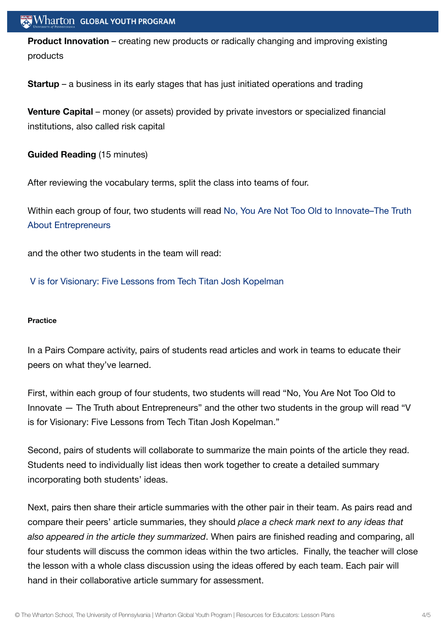### $\operatorname{Wharton}\nolimits$  global youth program

**Product Innovation** – creating new products or radically changing and improving existing products

**Startup** – a business in its early stages that has just initiated operations and trading

**Venture Capital** – money (or assets) provided by private investors or specialized financial institutions, also called risk capital

**Guided Reading** (15 minutes)

After reviewing the vocabulary terms, split the class into teams of four.

Within each group of four, two students will read No, You Are Not Too Old to Innovate–The Truth About [Entrepreneurs](http://www.linkedin.com/today/post/article/20130802040048-8451-no-you-are-not-too-old-to-innovate-the-truth-about-entrepreneurs?trk=cha-feed-art-title&sf15648694=1)

and the other two students in the team will read:

#### V is for Visionary: Five [Lessons from](https://globalyouth.wharton.upenn.edu/articles/v-is-for-visionary-five-lessons-from-tech-titan-josh-kopelman/) Tech Titan Josh Kopelman

#### **Practice**

In a Pairs Compare activity, pairs of students read articles and work in teams to educate their peers on what they've learned.

First, within each group of four students, two students will read "No, You Are Not Too Old to Innovate — The Truth about Entrepreneurs" and the other two students in the group will read "V is for Visionary: Five Lessons from Tech Titan Josh Kopelman."

Second, pairs of students will collaborate to summarize the main points of the article they read. Students need to individually list ideas then work together to create a detailed summary incorporating both students' ideas.

Next, pairs then share their article summaries with the other pair in their team. As pairs read and compare their peers' article summaries, they should *place a check mark next to any ideas that also appeared in the article they summarized*. When pairs are finished reading and comparing, all four students will discuss the common ideas within the two articles. Finally, the teacher will close the lesson with a whole class discussion using the ideas offered by each team. Each pair will hand in their collaborative article summary for assessment.